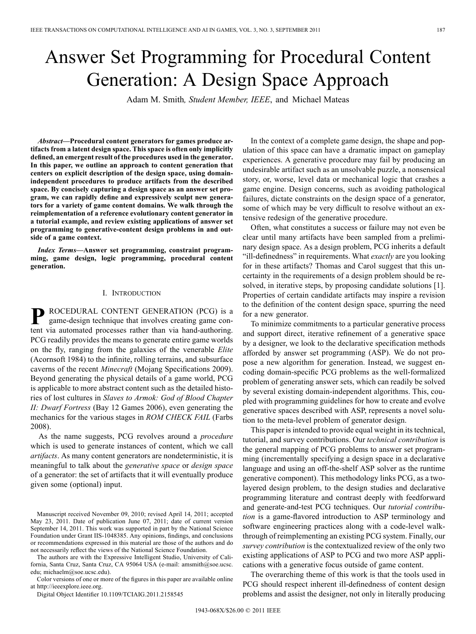# Answer Set Programming for Procedural Content Generation: A Design Space Approach

Adam M. Smith*, Student Member, IEEE*, and Michael Mateas

*Abstract—***Procedural content generators for games produce artifacts from a latent design space. This space is often only implicitly defined, an emergent result of the procedures used in the generator. In this paper, we outline an approach to content generation that centers on explicit description of the design space, using domainindependent procedures to produce artifacts from the described space. By concisely capturing a design space as an answer set program, we can rapidly define and expressively sculpt new generators for a variety of game content domains. We walk through the reimplementation of a reference evolutionary content generator in a tutorial example, and review existing applications of answer set programming to generative-content design problems in and outside of a game context.**

*Index Terms—***Answer set programming, constraint programming, game design, logic programming, procedural content generation.**

#### I. INTRODUCTION

**P** ROCEDURAL CONTENT GENERATION (PCG) is a game-design technique that involves creating game content via automated processes rather than via hand-authoring. PCG readily provides the means to generate entire game worlds on the fly, ranging from the galaxies of the venerable *Elite* (Acornsoft 1984) to the infinite, rolling terrains, and subsurface caverns of the recent *Minecraft* (Mojang Specifications 2009). Beyond generating the physical details of a game world, PCG is applicable to more abstract content such as the detailed histories of lost cultures in *Slaves to Armok: God of Blood Chapter II: Dwarf Fortress* (Bay 12 Games 2006), even generating the mechanics for the various stages in *ROM CHECK FAIL* (Farbs 2008).

As the name suggests, PCG revolves around a *procedure* which is used to generate instances of content, which we call *artifacts*. As many content generators are nondeterministic, it is meaningful to talk about the *generative space* or *design space* of a generator: the set of artifacts that it will eventually produce given some (optional) input.

The authors are with the Expressive Intelligent Studio, University of California, Santa Cruz, Santa Cruz, CA 95064 USA (e-mail: amsmith@soe.ucsc. edu; michaelm@soe.ucsc.edu).

Color versions of one or more of the figures in this paper are available online at http://ieeexplore.ieee.org.

Digital Object Identifier 10.1109/TCIAIG.2011.2158545

In the context of a complete game design, the shape and population of this space can have a dramatic impact on gameplay experiences. A generative procedure may fail by producing an undesirable artifact such as an unsolvable puzzle, a nonsensical story, or, worse, level data or mechanical logic that crashes a game engine. Design concerns, such as avoiding pathological failures, dictate constraints on the design space of a generator, some of which may be very difficult to resolve without an extensive redesign of the generative procedure.

Often, what constitutes a success or failure may not even be clear until many artifacts have been sampled from a preliminary design space. As a design problem, PCG inherits a default "ill-definedness" in requirements. What *exactly* are you looking for in these artifacts? Thomas and Carol suggest that this uncertainty in the requirements of a design problem should be resolved, in iterative steps, by proposing candidate solutions [1]. Properties of certain candidate artifacts may inspire a revision to the definition of the content design space, spurring the need for a new generator.

To minimize commitments to a particular generative process and support direct, iterative refinement of a generative space by a designer, we look to the declarative specification methods afforded by answer set programming (ASP). We do not propose a new algorithm for generation. Instead, we suggest encoding domain-specific PCG problems as the well-formalized problem of generating answer sets, which can readily be solved by several existing domain-independent algorithms. This, coupled with programming guidelines for how to create and evolve generative spaces described with ASP, represents a novel solution to the meta-level problem of generator design.

This paper is intended to provide equal weight in its technical, tutorial, and survey contributions. Our *technical contribution* is the general mapping of PCG problems to answer set programming (incrementally specifying a design space in a declarative language and using an off-the-shelf ASP solver as the runtime generative component). This methodology links PCG, as a twolayered design problem, to the design studies and declarative programming literature and contrast deeply with feedforward and generate-and-test PCG techniques. Our *tutorial contribution* is a game-flavored introduction to ASP terminology and software engineering practices along with a code-level walkthrough of reimplementing an existing PCG system. Finally, our *survey contribution* is the contextualized review of the only two existing applications of ASP to PCG and two more ASP applications with a generative focus outside of game content.

The overarching theme of this work is that the tools used in PCG should respect inherent ill-definedness of content design problems and assist the designer, not only in literally producing

Manuscript received November 09, 2010; revised April 14, 2011; accepted May 23, 2011. Date of publication June 07, 2011; date of current version September 14, 2011. This work was supported in part by the National Science Foundation under Grant IIS-1048385. Any opinions, findings, and conclusions or recommendations expressed in this material are those of the authors and do not necessarily reflect the views of the National Science Foundation.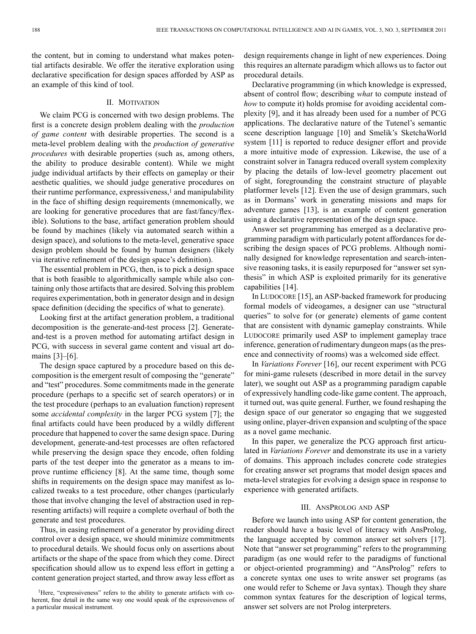the content, but in coming to understand what makes potential artifacts desirable. We offer the iterative exploration using declarative specification for design spaces afforded by ASP as an example of this kind of tool.

# II. MOTIVATION

We claim PCG is concerned with two design problems. The first is a concrete design problem dealing with the *production of game content* with desirable properties. The second is a meta-level problem dealing with the *production of generative procedures* with desirable properties (such as, among others, the ability to produce desirable content). While we might judge individual artifacts by their effects on gameplay or their aesthetic qualities, we should judge generative procedures on their runtime performance, expressiveness,<sup>1</sup> and manipulability in the face of shifting design requirements (mnemonically, we are looking for generative procedures that are fast/fancy/flexible). Solutions to the base, artifact generation problem should be found by machines (likely via automated search within a design space), and solutions to the meta-level, generative space design problem should be found by human designers (likely via iterative refinement of the design space's definition).

The essential problem in PCG, then, is to pick a design space that is both feasible to algorithmically sample while also containing only those artifacts that are desired. Solving this problem requires experimentation, both in generator design and in design space definition (deciding the specifics of what to generate).

Looking first at the artifact generation problem, a traditional decomposition is the generate-and-test process [2]. Generateand-test is a proven method for automating artifact design in PCG, with success in several game content and visual art domains [3]–[6].

The design space captured by a procedure based on this decomposition is the emergent result of composing the "generate" and "test" procedures. Some commitments made in the generate procedure (perhaps to a specific set of search operators) or in the test procedure (perhaps to an evaluation function) represent some *accidental complexity* in the larger PCG system [7]; the final artifacts could have been produced by a wildly different procedure that happened to cover the same design space. During development, generate-and-test processes are often refactored while preserving the design space they encode, often folding parts of the test deeper into the generator as a means to improve runtime efficiency [8]. At the same time, though some shifts in requirements on the design space may manifest as localized tweaks to a test procedure, other changes (particularly those that involve changing the level of abstraction used in representing artifacts) will require a complete overhaul of both the generate and test procedures.

Thus, in easing refinement of a generator by providing direct control over a design space, we should minimize commitments to procedural details. We should focus only on assertions about artifacts or the shape of the space from which they come. Direct specification should allow us to expend less effort in getting a content generation project started, and throw away less effort as

design requirements change in light of new experiences. Doing this requires an alternate paradigm which allows us to factor out procedural details.

Declarative programming (in which knowledge is expressed, absent of control flow; describing *what* to compute instead of *how* to compute it) holds promise for avoiding accidental complexity [9], and it has already been used for a number of PCG applications. The declarative nature of the Tutenel's semantic scene description language [10] and Smelik's SketchaWorld system [11] is reported to reduce designer effort and provide a more intuitive mode of expression. Likewise, the use of a constraint solver in Tanagra reduced overall system complexity by placing the details of low-level geometry placement out of sight, foregrounding the constraint structure of playable platformer levels [12]. Even the use of design grammars, such as in Dormans' work in generating missions and maps for adventure games [13], is an example of content generation using a declarative representation of the design space.

Answer set programming has emerged as a declarative programming paradigm with particularly potent affordances for describing the design spaces of PCG problems. Although nominally designed for knowledge representation and search-intensive reasoning tasks, it is easily repurposed for "answer set synthesis" in which ASP is exploited primarily for its generative capabilities [14].

In LUDOCORE [15], an ASP-backed framework for producing formal models of videogames, a designer can use "structural queries" to solve for (or generate) elements of game content that are consistent with dynamic gameplay constraints. While LUDOCORE primarily used ASP to implement gameplay trace inference, generation of rudimentary dungeon maps (as the presence and connectivity of rooms) was a welcomed side effect.

In *Variations Forever* [16], our recent experiment with PCG for mini-game rulesets (described in more detail in the survey later), we sought out ASP as a programming paradigm capable of expressively handling code-like game content. The approach, it turned out, was quite general. Further, we found reshaping the design space of our generator so engaging that we suggested using online, player-driven expansion and sculpting of the space as a novel game mechanic.

In this paper, we generalize the PCG approach first articulated in *Variations Forever* and demonstrate its use in a variety of domains. This approach includes concrete code strategies for creating answer set programs that model design spaces and meta-level strategies for evolving a design space in response to experience with generated artifacts.

### III. ANSPROLOG AND ASP

Before we launch into using ASP for content generation, the reader should have a basic level of literacy with AnsProlog, the language accepted by common answer set solvers [17]. Note that "answer set programming" refers to the programming paradigm (as one would refer to the paradigms of functional or object-oriented programming) and "AnsProlog" refers to a concrete syntax one uses to write answer set programs (as one would refer to Scheme or Java syntax). Though they share common syntax features for the description of logical terms, answer set solvers are not Prolog interpreters.

<sup>&</sup>lt;sup>1</sup>Here, "expressiveness" refers to the ability to generate artifacts with coherent, fine detail in the same way one would speak of the expressiveness of a particular musical instrument.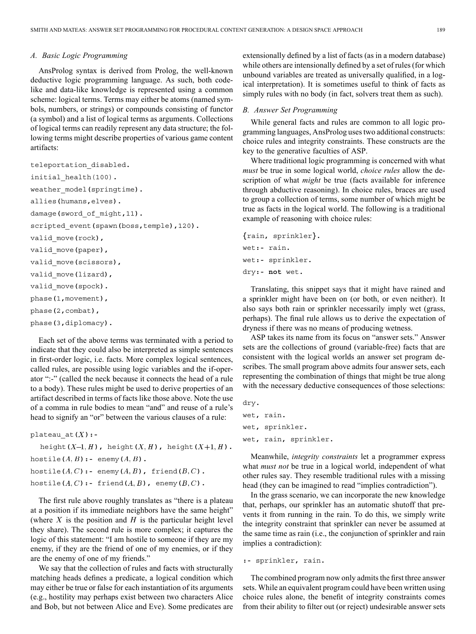#### *A. Basic Logic Programming*

AnsProlog syntax is derived from Prolog, the well-known deductive logic programming language. As such, both codelike and data-like knowledge is represented using a common scheme: logical terms. Terms may either be atoms (named symbols, numbers, or strings) or compounds consisting of functor (a symbol) and a list of logical terms as arguments. Collections of logical terms can readily represent any data structure; the following terms might describe properties of various game content artifacts:

teleportation\_disabled**.**

```
initial_health(100).
weather_model(springtime).
allies(humans,elves).
damage(sword_of_might,11).
scripted_event(spawn(boss,temple),120).
valid_move(rock),
valid_move(paper),
valid_move(scissors),
valid_move(lizard),
valid_move(spock).
phase(1,movement),
phase(2,combat),
phase(3,diplomacy).
```
Each set of the above terms was terminated with a period to indicate that they could also be interpreted as simple sentences in first-order logic, i.e. facts. More complex logical sentences, called rules, are possible using logic variables and the if-operator ":-" (called the neck because it connects the head of a rule to a body). These rules might be used to derive properties of an artifact described in terms of facts like those above. Note the use of a comma in rule bodies to mean "and" and reuse of a rule's head to signify an "or" between the various clauses of a rule:

```
plateau at (X):-
  height(X-1, H), height(X, H), height(X+1, H).
hostile (A, B): - enemy (A, B).
hostile(A, C): - enemy(A, B), friend(B, C).
hostile(A, C):- friend(A, B), enemy(B, C).
```
The first rule above roughly translates as "there is a plateau at a position if its immediate neighbors have the same height" (where  $\overline{X}$  is the position and  $\overline{H}$  is the particular height level they share). The second rule is more complex; it captures the logic of this statement: "I am hostile to someone if they are my enemy, if they are the friend of one of my enemies, or if they are the enemy of one of my friends."

We say that the collection of rules and facts with structurally matching heads defines a predicate, a logical condition which may either be true or false for each instantiation of its arguments (e.g., hostility may perhaps exist between two characters Alice and Bob, but not between Alice and Eve). Some predicates are extensionally defined by a list of facts (as in a modern database) while others are intensionally defined by a set of rules (for which unbound variables are treated as universally qualified, in a logical interpretation). It is sometimes useful to think of facts as simply rules with no body (in fact, solvers treat them as such).

# *B. Answer Set Programming*

While general facts and rules are common to all logic programming languages, AnsProlog uses two additional constructs: choice rules and integrity constraints. These constructs are the key to the generative faculties of ASP.

Where traditional logic programming is concerned with what *must* be true in some logical world, *choice rules* allow the description of what *might* be true (facts available for inference through abductive reasoning). In choice rules, braces are used to group a collection of terms, some number of which might be true as facts in the logical world. The following is a traditional example of reasoning with choice rules:

```
{rain, sprinkler}.
wet:- rain.
wet:- sprinkler.
dry:- not wet.
```
Translating, this snippet says that it might have rained and a sprinkler might have been on (or both, or even neither). It also says both rain or sprinkler necessarily imply wet (grass, perhaps). The final rule allows us to derive the expectation of dryness if there was no means of producing wetness.

ASP takes its name from its focus on "answer sets." Answer sets are the collections of ground (variable-free) facts that are consistent with the logical worlds an answer set program describes. The small program above admits four answer sets, each representing the combination of things that might be true along with the necessary deductive consequences of those selections:

```
dry.
wet, rain.
wet, sprinkler.
wet, rain, sprinkler.
```
Meanwhile, *integrity constraints* let a programmer express what *must not* be true in a logical world, independent of what other rules say. They resemble traditional rules with a missing head (they can be imagined to read "implies contradiction").

In the grass scenario, we can incorporate the new knowledge that, perhaps, our sprinkler has an automatic shutoff that prevents it from running in the rain. To do this, we simply write the integrity constraint that sprinkler can never be assumed at the same time as rain (i.e., the conjunction of sprinkler and rain implies a contradiction):

# **:-** sprinkler**,** rain**.**

The combined program now only admits the first three answer sets. While an equivalent program could have been written using choice rules alone, the benefit of integrity constraints comes from their ability to filter out (or reject) undesirable answer sets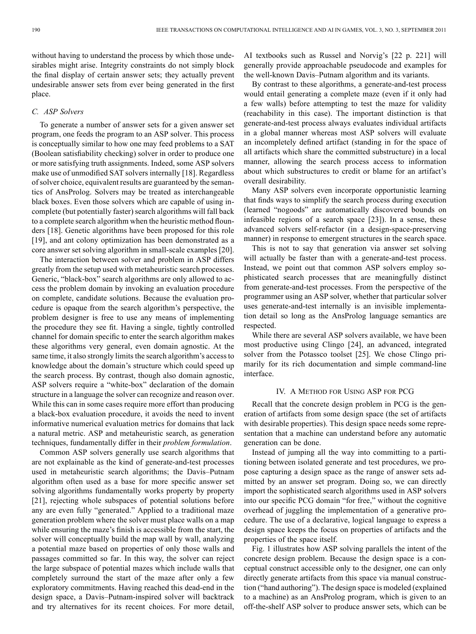without having to understand the process by which those undesirables might arise. Integrity constraints do not simply block the final display of certain answer sets; they actually prevent undesirable answer sets from ever being generated in the first place.

# *C. ASP Solvers*

To generate a number of answer sets for a given answer set program, one feeds the program to an ASP solver. This process is conceptually similar to how one may feed problems to a SAT (Boolean satisfiability checking) solver in order to produce one or more satisfying truth assignments. Indeed, some ASP solvers make use of unmodified SAT solvers internally [18]. Regardless of solver choice, equivalent results are guaranteed by the semantics of AnsProlog. Solvers may be treated as interchangeable black boxes. Even those solvers which are capable of using incomplete (but potentially faster) search algorithms will fall back to a complete search algorithm when the heuristic method flounders [18]. Genetic algorithms have been proposed for this role [19], and ant colony optimization has been demonstrated as a core answer set solving algorithm in small-scale examples [20].

The interaction between solver and problem in ASP differs greatly from the setup used with metaheuristic search processes. Generic, "black-box" search algorithms are only allowed to access the problem domain by invoking an evaluation procedure on complete, candidate solutions. Because the evaluation procedure is opaque from the search algorithm's perspective, the problem designer is free to use any means of implementing the procedure they see fit. Having a single, tightly controlled channel for domain specific to enter the search algorithm makes these algorithms very general, even domain agnostic. At the same time, it also strongly limits the search algorithm's access to knowledge about the domain's structure which could speed up the search process. By contrast, though also domain agnostic, ASP solvers require a "white-box" declaration of the domain structure in a language the solver can recognize and reason over. While this can in some cases require more effort than producing a black-box evaluation procedure, it avoids the need to invent informative numerical evaluation metrics for domains that lack a natural metric. ASP and metaheuristic search, as generation techniques, fundamentally differ in their *problem formulation*.

Common ASP solvers generally use search algorithms that are not explainable as the kind of generate-and-test processes used in metaheuristic search algorithms; the Davis–Putnam algorithm often used as a base for more specific answer set solving algorithms fundamentally works property by property [21], rejecting whole subspaces of potential solutions before any are even fully "generated." Applied to a traditional maze generation problem where the solver must place walls on a map while ensuring the maze's finish is accessible from the start, the solver will conceptually build the map wall by wall, analyzing a potential maze based on properties of only those walls and passages committed so far. In this way, the solver can reject the large subspace of potential mazes which include walls that completely surround the start of the maze after only a few exploratory commitments. Having reached this dead-end in the design space, a Davis–Putnam-inspired solver will backtrack and try alternatives for its recent choices. For more detail,

AI textbooks such as Russel and Norvig's [22 p. 221] will generally provide approachable pseudocode and examples for the well-known Davis–Putnam algorithm and its variants.

By contrast to these algorithms, a generate-and-test process would entail generating a complete maze (even if it only had a few walls) before attempting to test the maze for validity (reachability in this case). The important distinction is that generate-and-test process always evaluates individual artifacts in a global manner whereas most ASP solvers will evaluate an incompletely defined artifact (standing in for the space of all artifacts which share the committed substructure) in a local manner, allowing the search process access to information about which substructures to credit or blame for an artifact's overall desirability.

Many ASP solvers even incorporate opportunistic learning that finds ways to simplify the search process during execution (learned "nogoods" are automatically discovered bounds on infeasible regions of a search space [23]). In a sense, these advanced solvers self-refactor (in a design-space-preserving manner) in response to emergent structures in the search space.

This is not to say that generation via answer set solving will actually be faster than with a generate-and-test process. Instead, we point out that common ASP solvers employ sophisticated search processes that are meaningfully distinct from generate-and-test processes. From the perspective of the programmer using an ASP solver, whether that particular solver uses generate-and-test internally is an invisible implementation detail so long as the AnsProlog language semantics are respected.

While there are several ASP solvers available, we have been most productive using Clingo [24], an advanced, integrated solver from the Potassco toolset [25]. We chose Clingo primarily for its rich documentation and simple command-line interface.

### IV. A METHOD FOR USING ASP FOR PCG

Recall that the concrete design problem in PCG is the generation of artifacts from some design space (the set of artifacts with desirable properties). This design space needs some representation that a machine can understand before any automatic generation can be done.

Instead of jumping all the way into committing to a partitioning between isolated generate and test procedures, we propose capturing a design space as the range of answer sets admitted by an answer set program. Doing so, we can directly import the sophisticated search algorithms used in ASP solvers into our specific PCG domain "for free," without the cognitive overhead of juggling the implementation of a generative procedure. The use of a declarative, logical language to express a design space keeps the focus on properties of artifacts and the properties of the space itself.

Fig. 1 illustrates how ASP solving parallels the intent of the concrete design problem. Because the design space is a conceptual construct accessible only to the designer, one can only directly generate artifacts from this space via manual construction ("hand authoring"). The design space is modeled (explained to a machine) as an AnsProlog program, which is given to an off-the-shelf ASP solver to produce answer sets, which can be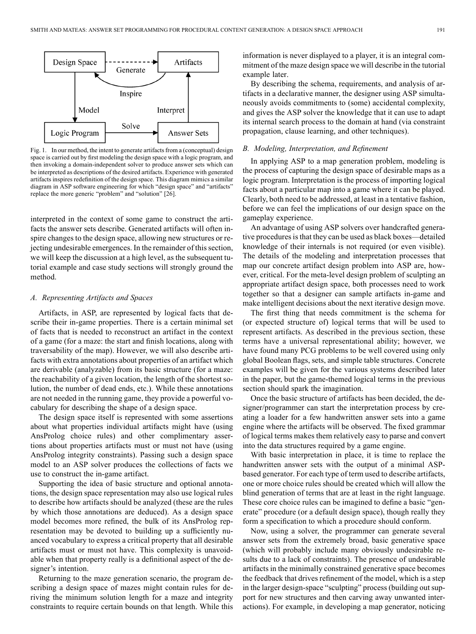

Fig. 1. In our method, the intent to generate artifacts from a (conceptual) design space is carried out by first modeling the design space with a logic program, and then invoking a domain-independent solver to produce answer sets which can be interpreted as descriptions of the desired artifacts. Experience with generated artifacts inspires redefinition of the design space. This diagram mimics a similar diagram in ASP software engineering for which "design space" and "artifacts" replace the more generic "problem" and "solution" [26].

interpreted in the context of some game to construct the artifacts the answer sets describe. Generated artifacts will often inspire changes to the design space, allowing new structures or rejecting undesirable emergences. In the remainder of this section, we will keep the discussion at a high level, as the subsequent tutorial example and case study sections will strongly ground the method.

#### *A. Representing Artifacts and Spaces*

Artifacts, in ASP, are represented by logical facts that describe their in-game properties. There is a certain minimal set of facts that is needed to reconstruct an artifact in the context of a game (for a maze: the start and finish locations, along with traversability of the map). However, we will also describe artifacts with extra annotations about properties of an artifact which are derivable (analyzable) from its basic structure (for a maze: the reachability of a given location, the length of the shortest solution, the number of dead ends, etc.). While these annotations are not needed in the running game, they provide a powerful vocabulary for describing the shape of a design space.

The design space itself is represented with some assertions about what properties individual artifacts might have (using AnsProlog choice rules) and other complimentary assertions about properties artifacts must or must not have (using AnsProlog integrity constraints). Passing such a design space model to an ASP solver produces the collections of facts we use to construct the in-game artifact.

Supporting the idea of basic structure and optional annotations, the design space representation may also use logical rules to describe how artifacts should be analyzed (these are the rules by which those annotations are deduced). As a design space model becomes more refined, the bulk of its AnsProlog representation may be devoted to building up a sufficiently nuanced vocabulary to express a critical property that all desirable artifacts must or must not have. This complexity is unavoidable when that property really is a definitional aspect of the designer's intention.

Returning to the maze generation scenario, the program describing a design space of mazes might contain rules for deriving the minimum solution length for a maze and integrity constraints to require certain bounds on that length. While this information is never displayed to a player, it is an integral commitment of the maze design space we will describe in the tutorial example later.

By describing the schema, requirements, and analysis of artifacts in a declarative manner, the designer using ASP simultaneously avoids commitments to (some) accidental complexity, and gives the ASP solver the knowledge that it can use to adapt its internal search process to the domain at hand (via constraint propagation, clause learning, and other techniques).

#### *B. Modeling, Interpretation, and Refinement*

In applying ASP to a map generation problem, modeling is the process of capturing the design space of desirable maps as a logic program. Interpretation is the process of importing logical facts about a particular map into a game where it can be played. Clearly, both need to be addressed, at least in a tentative fashion, before we can feel the implications of our design space on the gameplay experience.

An advantage of using ASP solvers over handcrafted generative procedures is that they can be used as black boxes—detailed knowledge of their internals is not required (or even visible). The details of the modeling and interpretation processes that map our concrete artifact design problem into ASP are, however, critical. For the meta-level design problem of sculpting an appropriate artifact design space, both processes need to work together so that a designer can sample artifacts in-game and make intelligent decisions about the next iterative design move.

The first thing that needs commitment is the schema for (or expected structure of) logical terms that will be used to represent artifacts. As described in the previous section, these terms have a universal representational ability; however, we have found many PCG problems to be well covered using only global Boolean flags, sets, and simple table structures. Concrete examples will be given for the various systems described later in the paper, but the game-themed logical terms in the previous section should spark the imagination.

Once the basic structure of artifacts has been decided, the designer/programmer can start the interpretation process by creating a loader for a few handwritten answer sets into a game engine where the artifacts will be observed. The fixed grammar of logical terms makes them relatively easy to parse and convert into the data structures required by a game engine.

With basic interpretation in place, it is time to replace the handwritten answer sets with the output of a minimal ASPbased generator. For each type of term used to describe artifacts, one or more choice rules should be created which will allow the blind generation of terms that are at least in the right language. These core choice rules can be imagined to define a basic "generate" procedure (or a default design space), though really they form a specification to which a procedure should conform.

Now, using a solver, the programmer can generate several answer sets from the extremely broad, basic generative space (which will probably include many obviously undesirable results due to a lack of constraints). The presence of undesirable artifacts in the minimally constrained generative space becomes the feedback that drives refinement of the model, which is a step in the larger design-space "sculpting" process (building out support for new structures and then carving away unwanted interactions). For example, in developing a map generator, noticing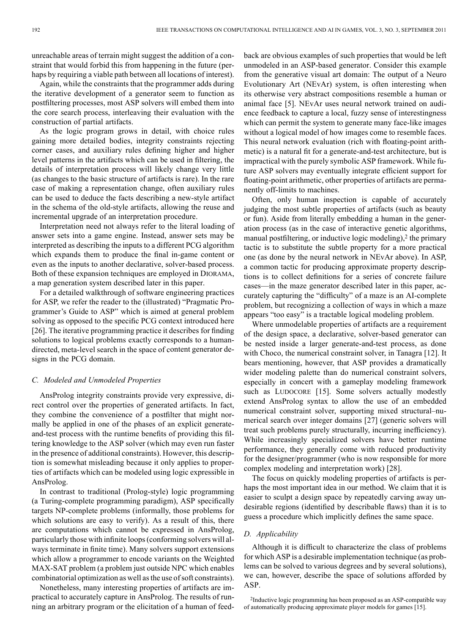unreachable areas of terrain might suggest the addition of a constraint that would forbid this from happening in the future (perhaps by requiring a viable path between all locations of interest).

Again, while the constraints that the programmer adds during the iterative development of a generator seem to function as postfiltering processes, most ASP solvers will embed them into the core search process, interleaving their evaluation with the construction of partial artifacts.

As the logic program grows in detail, with choice rules gaining more detailed bodies, integrity constraints rejecting corner cases, and auxiliary rules defining higher and higher level patterns in the artifacts which can be used in filtering, the details of interpretation process will likely change very little (as changes to the basic structure of artifacts is rare). In the rare case of making a representation change, often auxiliary rules can be used to deduce the facts describing a new-style artifact in the schema of the old-style artifacts, allowing the reuse and incremental upgrade of an interpretation procedure.

Interpretation need not always refer to the literal loading of answer sets into a game engine. Instead, answer sets may be interpreted as describing the inputs to a different PCG algorithm which expands them to produce the final in-game content or even as the inputs to another declarative, solver-based process. Both of these expansion techniques are employed in DIORAMA, a map generation system described later in this paper.

For a detailed walkthrough of software engineering practices for ASP, we refer the reader to the (illustrated) "Pragmatic Programmer's Guide to ASP" which is aimed at general problem solving as opposed to the specific PCG context introduced here [26]. The iterative programming practice it describes for finding solutions to logical problems exactly corresponds to a humandirected, meta-level search in the space of content generator designs in the PCG domain.

### *C. Modeled and Unmodeled Properties*

AnsProlog integrity constraints provide very expressive, direct control over the properties of generated artifacts. In fact, they combine the convenience of a postfilter that might normally be applied in one of the phases of an explicit generateand-test process with the runtime benefits of providing this filtering knowledge to the ASP solver (which may even run faster in the presence of additional constraints). However, this description is somewhat misleading because it only applies to properties of artifacts which can be modeled using logic expressible in AnsProlog.

In contrast to traditional (Prolog-style) logic programming (a Turing-complete programming paradigm), ASP specifically targets NP-complete problems (informally, those problems for which solutions are easy to verify). As a result of this, there are computations which cannot be expressed in AnsProlog, particularly those with infinite loops (conforming solvers will always terminate in finite time). Many solvers support extensions which allow a programmer to encode variants on the Weighted MAX-SAT problem (a problem just outside NPC which enables combinatorial optimization as well as the use of soft constraints).

Nonetheless, many interesting properties of artifacts are impractical to accurately capture in AnsProlog. The results of running an arbitrary program or the elicitation of a human of feed-

back are obvious examples of such properties that would be left unmodeled in an ASP-based generator. Consider this example from the generative visual art domain: The output of a Neuro Evolutionary Art (NEvAr) system, is often interesting when its otherwise very abstract compositions resemble a human or animal face [5]. NEvAr uses neural network trained on audience feedback to capture a local, fuzzy sense of interestingness which can permit the system to generate many face-like images without a logical model of how images come to resemble faces. This neural network evaluation (rich with floating-point arithmetic) is a natural fit for a generate-and-test architecture, but is impractical with the purely symbolic ASP framework. While future ASP solvers may eventually integrate efficient support for floating-point arithmetic, other properties of artifacts are permanently off-limits to machines.

Often, only human inspection is capable of accurately judging the most subtle properties of artifacts (such as beauty or fun). Aside from literally embedding a human in the generation process (as in the case of interactive genetic algorithms, manual postfiltering, or inductive logic modeling),<sup>2</sup> the primary tactic is to substitute the subtle property for a more practical one (as done by the neural network in NEvAr above). In ASP, a common tactic for producing approximate property descriptions is to collect definitions for a series of concrete failure cases—in the maze generator described later in this paper, accurately capturing the "difficulty" of a maze is an AI-complete problem, but recognizing a collection of ways in which a maze appears "too easy" is a tractable logical modeling problem.

Where unmodelable properties of artifacts are a requirement of the design space, a declarative, solver-based generator can be nested inside a larger generate-and-test process, as done with Choco, the numerical constraint solver, in Tanagra [12]. It bears mentioning, however, that ASP provides a dramatically wider modeling palette than do numerical constraint solvers, especially in concert with a gameplay modeling framework such as LUDOCORE [15]. Some solvers actually modestly extend AnsProlog syntax to allow the use of an embedded numerical constraint solver, supporting mixed structural–numerical search over integer domains [27] (generic solvers will treat such problems purely structurally, incurring inefficiency). While increasingly specialized solvers have better runtime performance, they generally come with reduced productivity for the designer/programmer (who is now responsible for more complex modeling and interpretation work) [28].

The focus on quickly modeling properties of artifacts is perhaps the most important idea in our method. We claim that it is easier to sculpt a design space by repeatedly carving away undesirable regions (identified by describable flaws) than it is to guess a procedure which implicitly defines the same space.

#### *D. Applicability*

Although it is difficult to characterize the class of problems for which ASP is a desirable implementation technique (as problems can be solved to various degrees and by several solutions), we can, however, describe the space of solutions afforded by ASP.

2Inductive logic programming has been proposed as an ASP-compatible way of automatically producing approximate player models for games [15].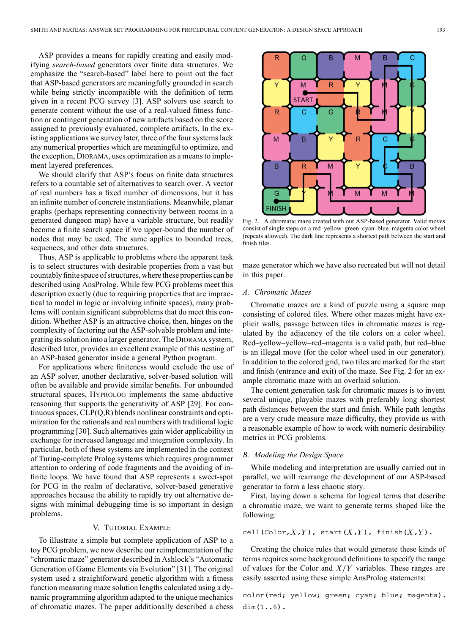ASP provides a means for rapidly creating and easily modifying *search-based* generators over finite data structures. We emphasize the "search-based" label here to point out the fact that ASP-based generators are meaningfully grounded in search while being strictly incompatible with the definition of term given in a recent PCG survey [3]. ASP solvers use search to generate content without the use of a real-valued fitness function or contingent generation of new artifacts based on the score assigned to previously evaluated, complete artifacts. In the existing applications we survey later, three of the four systems lack any numerical properties which are meaningful to optimize, and the exception, DIORAMA, uses optimization as a means to implement layered preferences.

We should clarify that ASP's focus on finite data structures refers to a countable set of alternatives to search over. A vector of real numbers has a fixed number of dimensions, but it has an infinite number of concrete instantiations. Meanwhile, planar graphs (perhaps representing connectivity between rooms in a generated dungeon map) have a variable structure, but readily become a finite search space if we upper-bound the number of nodes that may be used. The same applies to bounded trees, sequences, and other data structures.

Thus, ASP is applicable to problems where the apparent task is to select structures with desirable properties from a vast but countably finite space of structures, where these properties can be described using AnsProlog. While few PCG problems meet this description exactly (due to requiring properties that are impractical to model in logic or involving infinite spaces), many problems will contain significant subproblems that do meet this condition. Whether ASP is an attractive choice, then, hinges on the complexity of factoring out the ASP-solvable problem and integrating its solution into a larger generator. The DIORAMA system, described later, provides an excellent example of this nesting of an ASP-based generator inside a general Python program.

For applications where finiteness would exclude the use of an ASP solver, another declarative, solver-based solution will often be available and provide similar benefits. For unbounded structural spaces, HYPROLOG implements the same abductive reasoning that supports the generativity of ASP [29]. For continuous spaces, CLP(Q,R) blends nonlinear constraints and optimization for the rationals and real numbers with traditional logic programming [30]. Such alternatives gain wider applicability in exchange for increased language and integration complexity. In particular, both of these systems are implemented in the context of Turing-complete Prolog systems which requires programmer attention to ordering of code fragments and the avoiding of infinite loops. We have found that ASP represents a sweet-spot for PCG in the realm of declarative, solver-based generative approaches because the ability to rapidly try out alternative designs with minimal debugging time is so important in design problems.

#### V. TUTORIAL EXAMPLE

To illustrate a simple but complete application of ASP to a toy PCG problem, we now describe our reimplementation of the "chromatic maze" generator described in Ashlock's "Automatic Generation of Game Elements via Evolution" [31]. The original system used a straightforward genetic algorithm with a fitness function measuring maze solution lengths calculated using a dynamic programming algorithm adapted to the unique mechanics of chromatic mazes. The paper additionally described a chess



Fig. 2. A chromatic maze created with our ASP-based generator. Valid moves consist of single steps on a red–yellow–green–cyan–blue–magenta color wheel (repeats allowed). The dark line represents a shortest path between the start and finish tiles.

maze generator which we have also recreated but will not detail in this paper.

# *A. Chromatic Mazes*

Chromatic mazes are a kind of puzzle using a square map consisting of colored tiles. Where other mazes might have explicit walls, passage between tiles in chromatic mazes is regulated by the adjacency of the tile colors on a color wheel. Red–yellow–yellow–red–magenta is a valid path, but red–blue is an illegal move (for the color wheel used in our generator). In addition to the colored grid, two tiles are marked for the start and finish (entrance and exit) of the maze. See Fig. 2 for an example chromatic maze with an overlaid solution.

The content generation task for chromatic mazes is to invent several unique, playable mazes with preferably long shortest path distances between the start and finish. While path lengths are a very crude measure maze difficulty, they provide us with a reasonable example of how to work with numeric desirability metrics in PCG problems.

## *B. Modeling the Design Space*

While modeling and interpretation are usually carried out in parallel, we will rearrange the development of our ASP-based generator to form a less chaotic story.

First, laying down a schema for logical terms that describe a chromatic maze, we want to generate terms shaped like the following:

#### cell(Color,  $X$ ,  $Y$ ), start( $X$ ,  $Y$ ), finish( $X$ ,  $Y$ ).

Creating the choice rules that would generate these kinds of terms requires some background definitions to specify the range of values for the Color and  $X/Y$  variables. These ranges are easily asserted using these simple AnsProlog statements:

```
color(red; yellow; green; cyan; blue; magenta).
dim(1..6).
```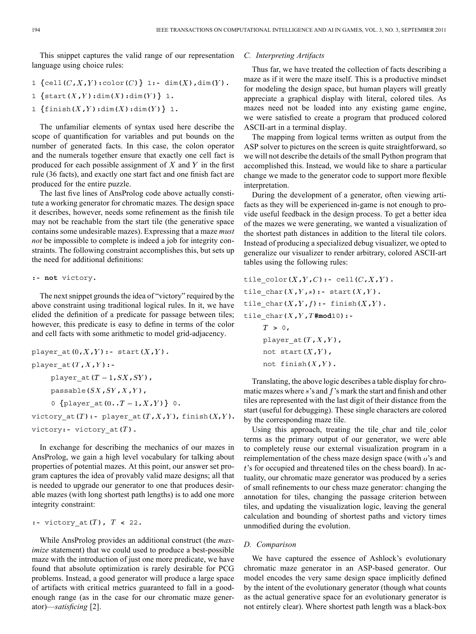This snippet captures the valid range of our representation language using choice rules:

1  ${ceil(C, X, Y) : color(C)}$  1:- dim(X), dim(Y).

$$
1 \left\{ \text{start}(X, Y) : \text{dim}(X) : \text{dim}(Y) \right\} 1.
$$

1  ${f}$ inish( $X, Y$ ):dim( $X$ ):dim( $Y$ ) 1.

The unfamiliar elements of syntax used here describe the scope of quantification for variables and put bounds on the number of generated facts. In this case, the colon operator and the numerals together ensure that exactly one cell fact is produced for each possible assignment of  $X$  and  $Y$  in the first rule (36 facts), and exactly one start fact and one finish fact are produced for the entire puzzle.

The last five lines of AnsProlog code above actually constitute a working generator for chromatic mazes. The design space it describes, however, needs some refinement as the finish tile may not be reachable from the start tile (the generative space contains some undesirable mazes). Expressing that a maze *must not* be impossible to complete is indeed a job for integrity constraints. The following constraint accomplishes this, but sets up the need for additional definitions:

**:- not** victory**.**

The next snippet grounds the idea of "victory" required by the above constraint using traditional logical rules. In it, we have elided the definition of a predicate for passage between tiles; however, this predicate is easy to define in terms of the color and cell facts with some arithmetic to model grid-adjacency.

 $\text{player}_{\text{at}}(0, X, Y)$ :- start $(X, Y)$ . player  $at(T, X, Y)$ : player  $at(T - 1, SX, SY)$ ,  $passable(SX, SY, X, Y)$ , 0  $\{ \text{player at } (0..T-1, X, Y) \}$  0.  $\text{victory\_at}(T) :$ - player\_at $(T, X, Y)$ , finish $(X, Y)$ . victory**:-** victory\_at**( ).**

In exchange for describing the mechanics of our mazes in AnsProlog, we gain a high level vocabulary for talking about properties of potential mazes. At this point, our answer set program captures the idea of provably valid maze designs; all that is needed to upgrade our generator to one that produces desirable mazes (with long shortest path lengths) is to add one more integrity constraint:

**:-** victory\_at**( ), <** 22**.**

While AnsProlog provides an additional construct (the *maximize* statement) that we could used to produce a best-possible maze with the introduction of just one more predicate, we have found that absolute optimization is rarely desirable for PCG problems. Instead, a good generator will produce a large space of artifacts with critical metrics guaranteed to fall in a goodenough range (as in the case for our chromatic maze generator)—*satisficing* [2].

# *C. Interpreting Artifacts*

Thus far, we have treated the collection of facts describing a maze as if it were the maze itself. This is a productive mindset for modeling the design space, but human players will greatly appreciate a graphical display with literal, colored tiles. As mazes need not be loaded into any existing game engine, we were satisfied to create a program that produced colored ASCII-art in a terminal display.

The mapping from logical terms written as output from the ASP solver to pictures on the screen is quite straightforward, so we will not describe the details of the small Python program that accomplished this. Instead, we would like to share a particular change we made to the generator code to support more flexible interpretation.

During the development of a generator, often viewing artifacts as they will be experienced in-game is not enough to provide useful feedback in the design process. To get a better idea of the mazes we were generating, we wanted a visualization of the shortest path distances in addition to the literal tile colors. Instead of producing a specialized debug visualizer, we opted to generalize our visualizer to render arbitrary, colored ASCII-art tables using the following rules:

 $\text{tile\_color}(X, Y, C) := \text{cell}(C, X, Y).$  $\text{tile\_char}(X, Y, s) := \text{start}(X, Y)$ .  $\text{tile\_char}(X, Y, f): = \text{finish}(X, Y).$  $\text{tile\_char}(X, Y, T\text{#mod10}):$  $T > 0$ , player  $at(T, X, Y)$ , not start $(X, Y)$ , not finish $(X, Y)$ .

Translating, the above logic describes a table display for chromatic mazes where  $s$ 's and  $f$ 's mark the start and finish and other tiles are represented with the last digit of their distance from the start (useful for debugging). These single characters are colored by the corresponding maze tile.

Using this approach, treating the tile\_char and tile\_color terms as the primary output of our generator, we were able to completely reuse our external visualization program in a reimplementation of the chess maze design space (with  $\sigma$ 's and 's for occupied and threatened tiles on the chess board). In actuality, our chromatic maze generator was produced by a series of small refinements to our chess maze generator: changing the annotation for tiles, changing the passage criterion between tiles, and updating the visualization logic, leaving the general calculation and bounding of shortest paths and victory times unmodified during the evolution.

#### *D. Comparison*

We have captured the essence of Ashlock's evolutionary chromatic maze generator in an ASP-based generator. Our model encodes the very same design space implicitly defined by the intent of the evolutionary generator (though what counts as the actual generative space for an evolutionary generator is not entirely clear). Where shortest path length was a black-box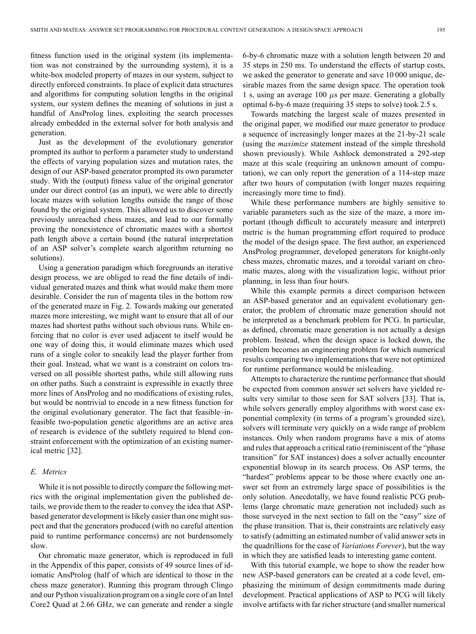fitness function used in the original system (its implementation was not constrained by the surrounding system), it is a white-box modeled property of mazes in our system, subject to directly enforced constraints. In place of explicit data structures and algorithms for computing solution lengths in the original system, our system defines the meaning of solutions in just a handful of AnsProlog lines, exploiting the search processes already embedded in the external solver for both analysis and generation.

Just as the development of the evolutionary generator prompted its author to perform a parameter study to understand the effects of varying population sizes and mutation rates, the design of our ASP-based generator prompted its own parameter study. With the (output) fitness value of the original generator under our direct control (as an input), we were able to directly locate mazes with solution lengths outside the range of those found by the original system. This allowed us to discover some previously unreached chess mazes, and lead to our formally proving the nonexistence of chromatic mazes with a shortest path length above a certain bound (the natural interpretation of an ASP solver's complete search algorithm returning no solutions).

Using a generation paradigm which foregrounds an iterative design process, we are obliged to read the fine details of individual generated mazes and think what would make them more desirable. Consider the run of magenta tiles in the bottom row of the generated maze in Fig. 2. Towards making our generated mazes more interesting, we might want to ensure that all of our mazes had shortest paths without such obvious runs. While enforcing that no color is ever used adjacent to itself would be one way of doing this, it would eliminate mazes which used runs of a single color to sneakily lead the player further from their goal. Instead, what we want is a constraint on colors traversed on all possible shortest paths, while still allowing runs on other paths. Such a constraint is expressible in exactly three more lines of AnsProlog and no modifications of existing rules, but would be nontrivial to encode in a new fitness function for the original evolutionary generator. The fact that feasible–infeasible two-population genetic algorithms are an active area of research is evidence of the subtlety required to blend constraint enforcement with the optimization of an existing numerical metric [32].

# *E. Metrics*

While it is not possible to directly compare the following metrics with the original implementation given the published details, we provide them to the reader to convey the idea that ASPbased generator development is likely easier than one might suspect and that the generators produced (with no careful attention paid to runtime performance concerns) are not burdensomely slow.

Our chromatic maze generator, which is reproduced in full in the Appendix of this paper, consists of 49 source lines of idiomatic AnsProlog (half of which are identical to those in the chess maze generator). Running this program through Clingo and our Python visualization program on a single core of an Intel Core2 Quad at 2.66 GHz, we can generate and render a single 6-by-6 chromatic maze with a solution length between 20 and 35 steps in 250 ms. To understand the effects of startup costs, we asked the generator to generate and save 10 000 unique, desirable mazes from the same design space. The operation took 1 s, using an average 100  $\mu$ s per maze. Generating a globally optimal 6-by-6 maze (requiring 35 steps to solve) took 2.5 s.

Towards matching the largest scale of mazes presented in the original paper, we modified our maze generator to produce a sequence of increasingly longer mazes at the 21-by-21 scale (using the *maximize* statement instead of the simple threshold shown previously). While Ashlock demonstrated a 292-step maze at this scale (requiring an unknown amount of computation), we can only report the generation of a 114-step maze after two hours of computation (with longer mazes requiring increasingly more time to find).

While these performance numbers are highly sensitive to variable parameters such as the size of the maze, a more important (though difficult to accurately measure and interpret) metric is the human programming effort required to produce the model of the design space. The first author, an experienced AnsProlog programmer, developed generators for knight-only chess mazes, chromatic mazes, and a toroidal variant on chromatic mazes, along with the visualization logic, without prior planning, in less than four hours.

While this example permits a direct comparison between an ASP-based generator and an equivalent evolutionary generator, the problem of chromatic maze generation should not be interpreted as a benchmark problem for PCG. In particular, as defined, chromatic maze generation is not actually a design problem. Instead, when the design space is locked down, the problem becomes an engineering problem for which numerical results comparing two implementations that were not optimized for runtime performance would be misleading.

Attempts to characterize the runtime performance that should be expected from common answer set solvers have yielded results very similar to those seen for SAT solvers [33]. That is, while solvers generally employ algorithms with worst case exponential complexity (in terms of a program's grounded size), solvers will terminate very quickly on a wide range of problem instances. Only when random programs have a mix of atoms and rules that approach a critical ratio (reminiscent of the "phase transition" for SAT instances) does a solver actually encounter exponential blowup in its search process. On ASP terms, the "hardest" problems appear to be those where exactly one answer set from an extremely large space of possibilities is the only solution. Anecdotally, we have found realistic PCG problems (large chromatic maze generation not included) such as those surveyed in the next section to fall on the "easy" size of the phase transition. That is, their constraints are relatively easy to satisfy (admitting an estimated number of valid answer sets in the quadrillions for the case of *Variations Forever*), but the way in which they are satisfied leads to interesting game content.

With this tutorial example, we hope to show the reader how new ASP-based generators can be created at a code level, emphasizing the minimum of design commitments made during development. Practical applications of ASP to PCG will likely involve artifacts with far richer structure (and smaller numerical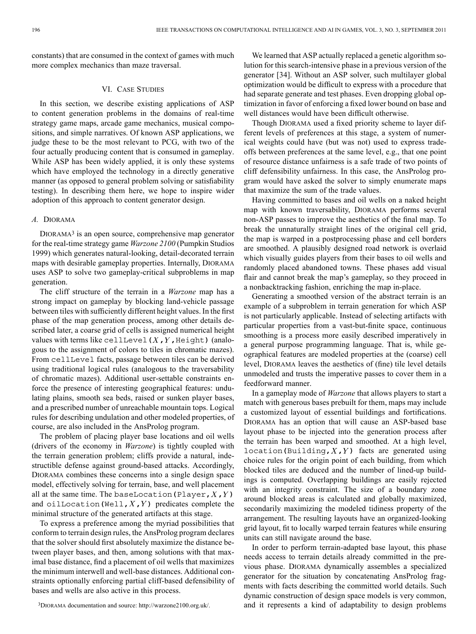constants) that are consumed in the context of games with much more complex mechanics than maze traversal.

# VI. CASE STUDIES

In this section, we describe existing applications of ASP to content generation problems in the domains of real-time strategy game maps, arcade game mechanics, musical compositions, and simple narratives. Of known ASP applications, we judge these to be the most relevant to PCG, with two of the four actually producing content that is consumed in gameplay. While ASP has been widely applied, it is only these systems which have employed the technology in a directly generative manner (as opposed to general problem solving or satisfiability testing). In describing them here, we hope to inspire wider adoption of this approach to content generator design.

#### *A.* DIORAMA

DIORAMA3 is an open source, comprehensive map generator for the real-time strategy game *Warzone 2100* (Pumpkin Studios 1999) which generates natural-looking, detail-decorated terrain maps with desirable gameplay properties. Internally, DIORAMA uses ASP to solve two gameplay-critical subproblems in map generation.

The cliff structure of the terrain in a *Warzone* map has a strong impact on gameplay by blocking land-vehicle passage between tiles with sufficiently different height values. In the first phase of the map generation process, among other details described later, a coarse grid of cells is assigned numerical height values with terms like cellLevel  $(X, Y, \text{Height})$  (analogous to the assignment of colors to tiles in chromatic mazes). From cellLevel facts, passage between tiles can be derived using traditional logical rules (analogous to the traversability of chromatic mazes). Additional user-settable constraints enforce the presence of interesting geographical features: undulating plains, smooth sea beds, raised or sunken player bases, and a prescribed number of unreachable mountain tops. Logical rules for describing undulation and other modeled properties, of course, are also included in the AnsProlog program.

The problem of placing player base locations and oil wells (drivers of the economy in *Warzone*) is tightly coupled with the terrain generation problem; cliffs provide a natural, indestructible defense against ground-based attacks. Accordingly, DIORAMA combines these concerns into a single design space model, effectively solving for terrain, base, and well placement all at the same time. The baseLocation (Player,  $X, Y$ ) and oilLocation (Well,  $X$ ,  $Y$ ) predicates complete the minimal structure of the generated artifacts at this stage.

To express a preference among the myriad possibilities that conform to terrain design rules, the AnsProlog program declares that the solver should first absolutely maximize the distance between player bases, and then, among solutions with that maximal base distance, find a placement of oil wells that maximizes the minimum interwell and well-base distances. Additional constraints optionally enforcing partial cliff-based defensibility of bases and wells are also active in this process.

3DIORAMA documentation and source: http://warzone2100.org.uk/.

We learned that ASP actually replaced a genetic algorithm solution for this search-intensive phase in a previous version of the generator [34]. Without an ASP solver, such multilayer global optimization would be difficult to express with a procedure that had separate generate and test phases. Even dropping global optimization in favor of enforcing a fixed lower bound on base and well distances would have been difficult otherwise.

Though DIORAMA used a fixed priority scheme to layer different levels of preferences at this stage, a system of numerical weights could have (but was not) used to express tradeoffs between preferences at the same level, e.g., that one point of resource distance unfairness is a safe trade of two points of cliff defensibility unfairness. In this case, the AnsProlog program would have asked the solver to simply enumerate maps that maximize the sum of the trade values.

Having committed to bases and oil wells on a naked height map with known traversability, DIORAMA performs several non-ASP passes to improve the aesthetics of the final map. To break the unnaturally straight lines of the original cell grid, the map is warped in a postprocessing phase and cell borders are smoothed. A plausibly designed road network is overlaid which visually guides players from their bases to oil wells and randomly placed abandoned towns. These phases add visual flair and cannot break the map's gameplay, so they proceed in a nonbacktracking fashion, enriching the map in-place.

Generating a smoothed version of the abstract terrain is an example of a subproblem in terrain generation for which ASP is not particularly applicable. Instead of selecting artifacts with particular properties from a vast-but-finite space, continuous smoothing is a process more easily described imperatively in a general purpose programming language. That is, while geographical features are modeled properties at the (coarse) cell level, DIORAMA leaves the aesthetics of (fine) tile level details unmodeled and trusts the imperative passes to cover them in a feedforward manner.

In a gameplay mode of *Warzone* that allows players to start a match with generous bases prebuilt for them, maps may include a customized layout of essential buildings and fortifications. DIORAMA has an option that will cause an ASP-based base layout phase to be injected into the generation process after the terrain has been warped and smoothed. At a high level, location (Building,  $X$ ,  $Y$ ) facts are generated using choice rules for the origin point of each building, from which blocked tiles are deduced and the number of lined-up buildings is computed. Overlapping buildings are easily rejected with an integrity constraint. The size of a boundary zone around blocked areas is calculated and globally maximized, secondarily maximizing the modeled tidiness property of the arrangement. The resulting layouts have an organized-looking grid layout, fit to locally warped terrain features while ensuring units can still navigate around the base.

In order to perform terrain-adapted base layout, this phase needs access to terrain details already committed in the previous phase. DIORAMA dynamically assembles a specialized generator for the situation by concatenating AnsProlog fragments with facts describing the committed world details. Such dynamic construction of design space models is very common, and it represents a kind of adaptability to design problems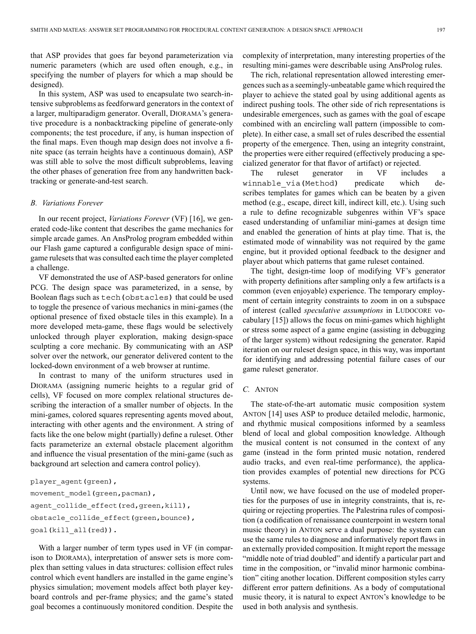that ASP provides that goes far beyond parameterization via numeric parameters (which are used often enough, e.g., in specifying the number of players for which a map should be designed).

In this system, ASP was used to encapsulate two search-intensive subproblems as feedforward generators in the context of a larger, multiparadigm generator. Overall, DIORAMA's generative procedure is a nonbacktracking pipeline of generate-only components; the test procedure, if any, is human inspection of the final maps. Even though map design does not involve a finite space (as terrain heights have a continuous domain), ASP was still able to solve the most difficult subproblems, leaving the other phases of generation free from any handwritten backtracking or generate-and-test search.

#### *B. Variations Forever*

In our recent project, *Variations Forever* (VF) [16], we generated code-like content that describes the game mechanics for simple arcade games. An AnsProlog program embedded within our Flash game captured a configurable design space of minigame rulesets that was consulted each time the player completed a challenge.

VF demonstrated the use of ASP-based generators for online PCG. The design space was parameterized, in a sense, by Boolean flags such as tech**(**obstacles**)** that could be used to toggle the presence of various mechanics in mini-games (the optional presence of fixed obstacle tiles in this example). In a more developed meta-game, these flags would be selectively unlocked through player exploration, making design-space sculpting a core mechanic. By communicating with an ASP solver over the network, our generator delivered content to the locked-down environment of a web browser at runtime.

In contrast to many of the uniform structures used in DIORAMA (assigning numeric heights to a regular grid of cells), VF focused on more complex relational structures describing the interaction of a smaller number of objects. In the mini-games, colored squares representing agents moved about, interacting with other agents and the environment. A string of facts like the one below might (partially) define a ruleset. Other facts parameterize an external obstacle placement algorithm and influence the visual presentation of the mini-game (such as background art selection and camera control policy).

```
player_agent(green),
movement_model(green,pacman),
agent_collide_effect(red,green,kill),
obstacle_collide_effect(green,bounce),
goal(kill_all(red)).
```
With a larger number of term types used in VF (in comparison to DIORAMA), interpretation of answer sets is more complex than setting values in data structures: collision effect rules control which event handlers are installed in the game engine's physics simulation; movement models affect both player keyboard controls and per-frame physics; and the game's stated goal becomes a continuously monitored condition. Despite the complexity of interpretation, many interesting properties of the resulting mini-games were describable using AnsProlog rules.

The rich, relational representation allowed interesting emergences such as a seemingly-unbeatable game which required the player to achieve the stated goal by using additional agents as indirect pushing tools. The other side of rich representations is undesirable emergences, such as games with the goal of escape combined with an encircling wall pattern (impossible to complete). In either case, a small set of rules described the essential property of the emergence. Then, using an integrity constraint, the properties were either required (effectively producing a specialized generator for that flavor of artifact) or rejected.

The ruleset generator in VF includes a winnable\_via**(**Method**)** predicate which describes templates for games which can be beaten by a given method (e.g., escape, direct kill, indirect kill, etc.). Using such a rule to define recognizable subgenres within VF's space eased understanding of unfamiliar mini-games at design time and enabled the generation of hints at play time. That is, the estimated mode of winnability was not required by the game engine, but it provided optional feedback to the designer and player about which patterns that game ruleset contained.

The tight, design-time loop of modifying VF's generator with property definitions after sampling only a few artifacts is a common (even enjoyable) experience. The temporary employment of certain integrity constraints to zoom in on a subspace of interest (called *speculative assumptions* in LUDOCORE vocabulary [15]) allows the focus on mini-games which highlight or stress some aspect of a game engine (assisting in debugging of the larger system) without redesigning the generator. Rapid iteration on our ruleset design space, in this way, was important for identifying and addressing potential failure cases of our game ruleset generator.

# *C.* ANTON

The state-of-the-art automatic music composition system ANTON [14] uses ASP to produce detailed melodic, harmonic, and rhythmic musical compositions informed by a seamless blend of local and global composition knowledge. Although the musical content is not consumed in the context of any game (instead in the form printed music notation, rendered audio tracks, and even real-time performance), the application provides examples of potential new directions for PCG systems.

Until now, we have focused on the use of modeled properties for the purposes of use in integrity constraints, that is, requiring or rejecting properties. The Palestrina rules of composition (a codification of renaissance counterpoint in western tonal music theory) in ANTON serve a dual purpose: the system can use the same rules to diagnose and informatively report flaws in an externally provided composition. It might report the message "middle note of triad doubled" and identify a particular part and time in the composition, or "invalid minor harmonic combination" citing another location. Different composition styles carry different error pattern definitions. As a body of computational music theory, it is natural to expect ANTON's knowledge to be used in both analysis and synthesis.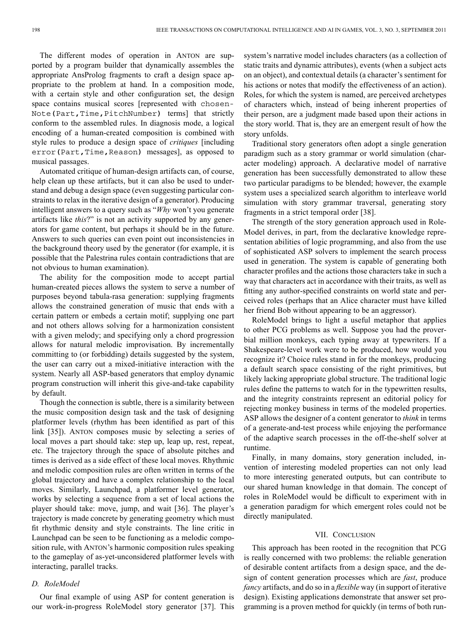The different modes of operation in ANTON are supported by a program builder that dynamically assembles the appropriate AnsProlog fragments to craft a design space appropriate to the problem at hand. In a composition mode, with a certain style and other configuration set, the design space contains musical scores [represented with chosen-Note**(**Part**,**Time**,**PitchNumber**)** terms] that strictly conform to the assembled rules. In diagnosis mode, a logical encoding of a human-created composition is combined with style rules to produce a design space of *critiques* [including error**(**Part**,**Time**,**Reason**)** messages], as opposed to musical passages.

Automated critique of human-design artifacts can, of course, help clean up these artifacts, but it can also be used to understand and debug a design space (even suggesting particular constraints to relax in the iterative design of a generator). Producing intelligent answers to a query such as "*Why* won't you generate artifacts like *this*?" is not an activity supported by any generators for game content, but perhaps it should be in the future. Answers to such queries can even point out inconsistencies in the background theory used by the generator (for example, it is possible that the Palestrina rules contain contradictions that are not obvious to human examination).

The ability for the composition mode to accept partial human-created pieces allows the system to serve a number of purposes beyond tabula-rasa generation: supplying fragments allows the constrained generation of music that ends with a certain pattern or embeds a certain motif; supplying one part and not others allows solving for a harmonization consistent with a given melody; and specifying only a chord progression allows for natural melodic improvisation. By incrementally committing to (or forbidding) details suggested by the system, the user can carry out a mixed-initiative interaction with the system. Nearly all ASP-based generators that employ dynamic program construction will inherit this give-and-take capability by default.

Though the connection is subtle, there is a similarity between the music composition design task and the task of designing platformer levels (rhythm has been identified as part of this link [35]). ANTON composes music by selecting a series of local moves a part should take: step up, leap up, rest, repeat, etc. The trajectory through the space of absolute pitches and times is derived as a side effect of these local moves. Rhythmic and melodic composition rules are often written in terms of the global trajectory and have a complex relationship to the local moves. Similarly, Launchpad, a platformer level generator, works by selecting a sequence from a set of local actions the player should take: move, jump, and wait [36]. The player's trajectory is made concrete by generating geometry which must fit rhythmic density and style constraints. The line critic in Launchpad can be seen to be functioning as a melodic composition rule, with ANTON's harmonic composition rules speaking to the gameplay of as-yet-unconsidered platformer levels with interacting, parallel tracks.

# *D. RoleModel*

Our final example of using ASP for content generation is our work-in-progress RoleModel story generator [37]. This

system's narrative model includes characters (as a collection of static traits and dynamic attributes), events (when a subject acts on an object), and contextual details (a character's sentiment for his actions or notes that modify the effectiveness of an action). Roles, for which the system is named, are perceived archetypes of characters which, instead of being inherent properties of their person, are a judgment made based upon their actions in the story world. That is, they are an emergent result of how the story unfolds.

Traditional story generators often adopt a single generation paradigm such as a story grammar or world simulation (character modeling) approach. A declarative model of narrative generation has been successfully demonstrated to allow these two particular paradigms to be blended; however, the example system uses a specialized search algorithm to interleave world simulation with story grammar traversal, generating story fragments in a strict temporal order [38].

The strength of the story generation approach used in Role-Model derives, in part, from the declarative knowledge representation abilities of logic programming, and also from the use of sophisticated ASP solvers to implement the search process used in generation. The system is capable of generating both character profiles and the actions those characters take in such a way that characters act in accordance with their traits, as well as fitting any author-specified constraints on world state and perceived roles (perhaps that an Alice character must have killed her friend Bob without appearing to be an aggressor).

RoleModel brings to light a useful metaphor that applies to other PCG problems as well. Suppose you had the proverbial million monkeys, each typing away at typewriters. If a Shakespeare-level work were to be produced, how would you recognize it? Choice rules stand in for the monkeys, producing a default search space consisting of the right primitives, but likely lacking appropriate global structure. The traditional logic rules define the patterns to watch for in the typewritten results, and the integrity constraints represent an editorial policy for rejecting monkey business in terms of the modeled properties. ASP allows the designer of a content generator to *think* in terms of a generate-and-test process while enjoying the performance of the adaptive search processes in the off-the-shelf solver at runtime.

Finally, in many domains, story generation included, invention of interesting modeled properties can not only lead to more interesting generated outputs, but can contribute to our shared human knowledge in that domain. The concept of roles in RoleModel would be difficult to experiment with in a generation paradigm for which emergent roles could not be directly manipulated.

#### VII. CONCLUSION

This approach has been rooted in the recognition that PCG is really concerned with two problems: the reliable generation of desirable content artifacts from a design space, and the design of content generation processes which are *fast*, produce *fancy* artifacts, and do so in a *flexible* way (in support of iterative design). Existing applications demonstrate that answer set programming is a proven method for quickly (in terms of both run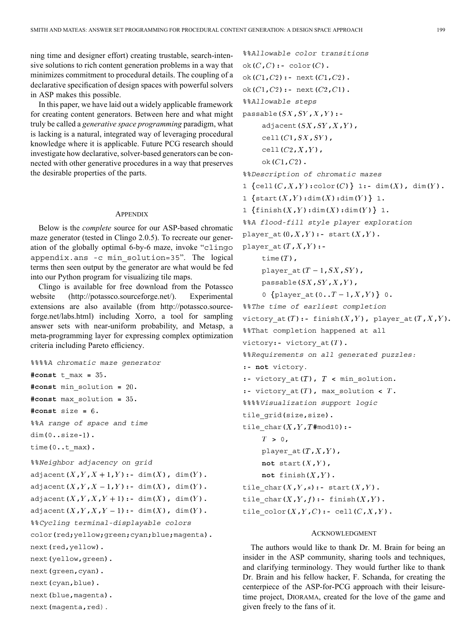ning time and designer effort) creating trustable, search-intensive solutions to rich content generation problems in a way that minimizes commitment to procedural details. The coupling of a declarative specification of design spaces with powerful solvers in ASP makes this possible.

In this paper, we have laid out a widely applicable framework for creating content generators. Between here and what might truly be called a *generative space programming* paradigm, what is lacking is a natural, integrated way of leveraging procedural knowledge where it is applicable. Future PCG research should investigate how declarative, solver-based generators can be connected with other generative procedures in a way that preserves the desirable properties of the parts.

#### **APPENDIX**

Below is the *complete* source for our ASP-based chromatic maze generator (tested in Clingo 2.0.5). To recreate our generation of the globally optimal 6-by-6 maze, invoke "clingo appendix.ans -c min\_solution=35". The logical terms then seen output by the generator are what would be fed into our Python program for visualizing tile maps.

Clingo is available for free download from the Potassco website (http://potassco.sourceforge.net/). Experimental extensions are also available (from http://potassco.sourceforge.net/labs.html) including Xorro, a tool for sampling answer sets with near-uniform probability, and Metasp, a meta-programming layer for expressing complex optimization criteria including Pareto efficiency.

```
%%%%A chromatic maze generator
#const t_max = .
#const min_solution = .
#const max_solution = .
#const size = .
%%A range of space and time
dim(0..size- ).
time(0..t_max).
%%Neighbor adjacency on grid
adjacent(X, Y, X + 1, Y): - dim(X), dim(Y).
adjacent(X, Y, X-1, Y): - dim(X), dim(Y).
adjacent(X, Y, X, Y + 1) :- dim(X), dim(Y).adjacent(X, Y, X, Y-1):- dim(X), dim(Y).
%%Cycling terminal-displayable colors
color(red;yellow;green;cyan;blue;magenta).
next(red,yellow).
next(yellow,green).
next(green,cyan).
next(cyan,blue).
next(blue,magenta).
next(magenta,red).
```

```
%%Allowable color transitions
ok(C,C):- color(C).
ok(C1, C2) : - next (C1, C2).
ok(C1, C2): - next (C2, C1).
%%Allowable steps
passable(SX, SY, X, Y):
     adjacent (SX, SY, X, Y),
     cell(C1, SX, SY),
     cell(C2, X, Y),
     ok(C1, C2).
%%Description of chromatic mazes
1 \{cell(C, X, Y): color(C)\} 1:- dim(X), dim(Y).
1 \{ \text{start}(X, Y) : \dim(X) : \dim(Y) \} 1.
1 \{ \text{finish}(X, Y) : \dim(X) : \dim(Y) \} 1.
%%A flood-fill style player exploration
player at(0, X, Y):- start(X, Y).
player at(T, X, Y):
     time(T),
     player at (T - 1, SX, SY),
     passable(SX, SY, X, Y),
     0 \{ \text{player}_\text{at}(0..T-1,X,Y) \} 0.
%%The time of earliest completion
victory at(T):- finish(X, Y), player at(T, X, Y).
%%That completion happened at all
victory:- victory at(T).
%%Requirements on all generated puzzles:
:- not victory.
: victory at (T), T < min solution.
: victory at (T), max solution \lt T.
%%%%Visualization support logic
tile_grid(size,size).
tile char(X, Y, T \text{#mod10}):T > 0,
     player at(T, X, Y),
     not \text{start}(X, Y),
     not finish(X, Y).
tile char(X, Y, s):- start(X, Y).
tile char(X, Y, f):- finish(X, Y).
tile \text{color}(X, Y, C):- cell(C, X, Y).
```
#### ACKNOWLEDGMENT

The authors would like to thank Dr. M. Brain for being an insider in the ASP community, sharing tools and techniques, and clarifying terminology. They would further like to thank Dr. Brain and his fellow hacker, F. Schanda, for creating the centerpiece of the ASP-for-PCG approach with their leisuretime project, DIORAMA, created for the love of the game and given freely to the fans of it.